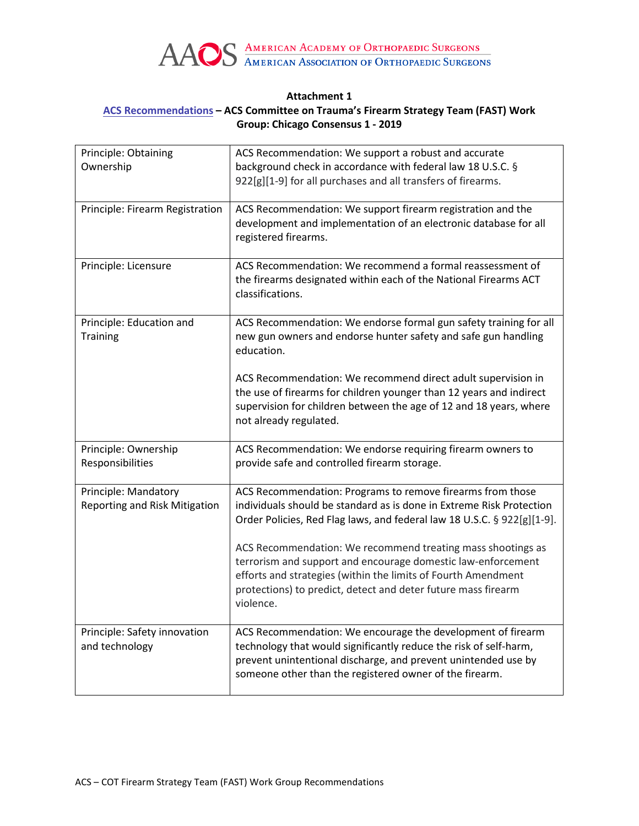

## **Attachment 1**

## **[ACS Recommendations](https://www.facs.org/for-medical-professionals/news-publications/news-and-articles/press-releases/2022/firearm-injury-prevention-activities/brief-summary-fast-workgroup/) – ACS Committee on Trauma's Firearm Strategy Team (FAST) Work Group: Chicago Consensus 1 - 2019**

| Principle: Obtaining<br>Ownership                     | ACS Recommendation: We support a robust and accurate<br>background check in accordance with federal law 18 U.S.C. §<br>922[g][1-9] for all purchases and all transfers of firearms.                                                                                                                                                                                                                                                                                                         |
|-------------------------------------------------------|---------------------------------------------------------------------------------------------------------------------------------------------------------------------------------------------------------------------------------------------------------------------------------------------------------------------------------------------------------------------------------------------------------------------------------------------------------------------------------------------|
| Principle: Firearm Registration                       | ACS Recommendation: We support firearm registration and the<br>development and implementation of an electronic database for all<br>registered firearms.                                                                                                                                                                                                                                                                                                                                     |
| Principle: Licensure                                  | ACS Recommendation: We recommend a formal reassessment of<br>the firearms designated within each of the National Firearms ACT<br>classifications.                                                                                                                                                                                                                                                                                                                                           |
| Principle: Education and<br><b>Training</b>           | ACS Recommendation: We endorse formal gun safety training for all<br>new gun owners and endorse hunter safety and safe gun handling<br>education.                                                                                                                                                                                                                                                                                                                                           |
|                                                       | ACS Recommendation: We recommend direct adult supervision in<br>the use of firearms for children younger than 12 years and indirect<br>supervision for children between the age of 12 and 18 years, where<br>not already regulated.                                                                                                                                                                                                                                                         |
| Principle: Ownership<br>Responsibilities              | ACS Recommendation: We endorse requiring firearm owners to<br>provide safe and controlled firearm storage.                                                                                                                                                                                                                                                                                                                                                                                  |
| Principle: Mandatory<br>Reporting and Risk Mitigation | ACS Recommendation: Programs to remove firearms from those<br>individuals should be standard as is done in Extreme Risk Protection<br>Order Policies, Red Flag laws, and federal law 18 U.S.C. § 922[g][1-9].<br>ACS Recommendation: We recommend treating mass shootings as<br>terrorism and support and encourage domestic law-enforcement<br>efforts and strategies (within the limits of Fourth Amendment<br>protections) to predict, detect and deter future mass firearm<br>violence. |
| Principle: Safety innovation<br>and technology        | ACS Recommendation: We encourage the development of firearm<br>technology that would significantly reduce the risk of self-harm,<br>prevent unintentional discharge, and prevent unintended use by<br>someone other than the registered owner of the firearm.                                                                                                                                                                                                                               |